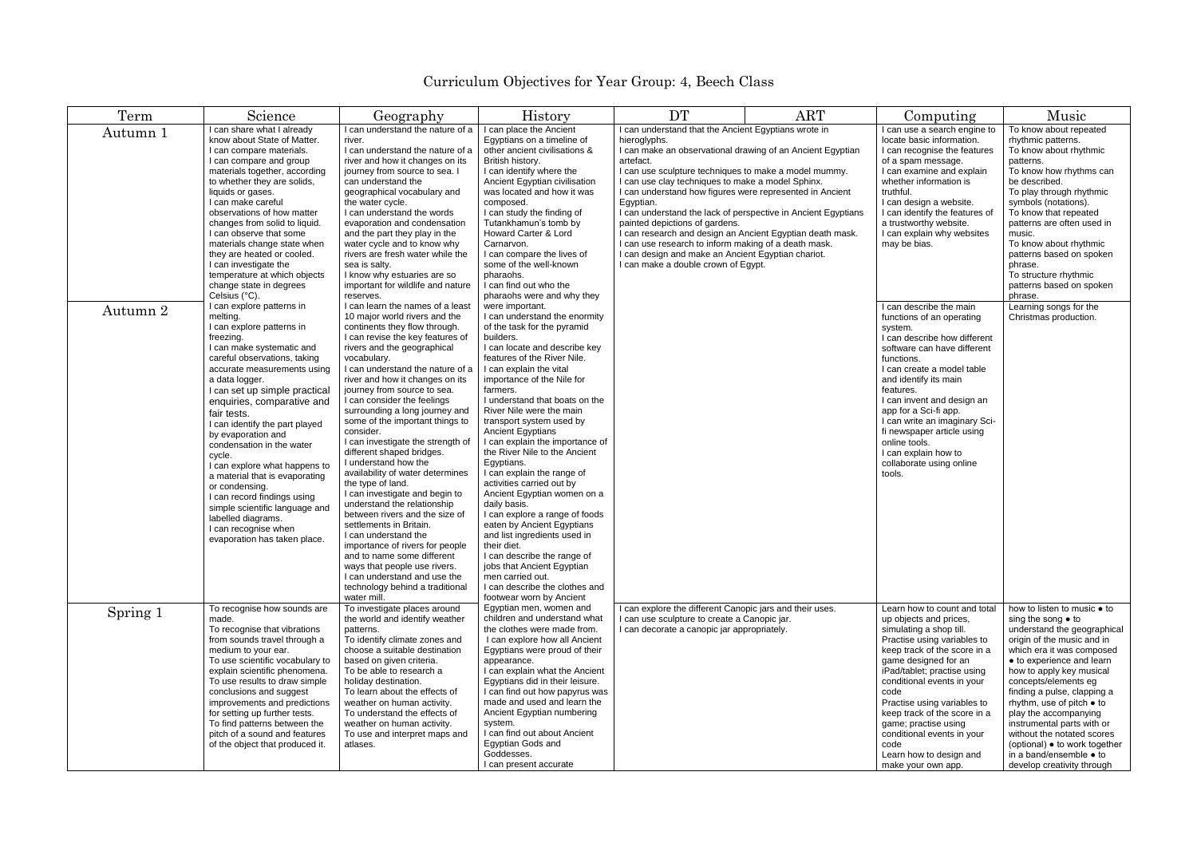## Curriculum Objectives for Year Group: 4, Beech Class

| Term     | Science                                                                                                                                                                                                                                                                                                                                                                                                                                                                                                                                                                                                        | Geography                                                                                                                                                                                                                                                                                                                                                                                                                                                                                                                                                                                                                                                                                                                                                                                                                                                                                               | <b>History</b>                                                                                                                                                                                                                                                                                                                                                                                                                                                                                                                                                                                                                                                                                                                                                                                                    | <b>DT</b>                                                                                                                                                                                                                                                                                                                                                                                                                                                                                                                                                                                                                                                   | <b>ART</b> | Computing                                                                                                                                                                                                                                                                                                                                                                                                                   | Music                                                                                                                                                                                                                                                                                                                                                                                                                                                                                   |
|----------|----------------------------------------------------------------------------------------------------------------------------------------------------------------------------------------------------------------------------------------------------------------------------------------------------------------------------------------------------------------------------------------------------------------------------------------------------------------------------------------------------------------------------------------------------------------------------------------------------------------|---------------------------------------------------------------------------------------------------------------------------------------------------------------------------------------------------------------------------------------------------------------------------------------------------------------------------------------------------------------------------------------------------------------------------------------------------------------------------------------------------------------------------------------------------------------------------------------------------------------------------------------------------------------------------------------------------------------------------------------------------------------------------------------------------------------------------------------------------------------------------------------------------------|-------------------------------------------------------------------------------------------------------------------------------------------------------------------------------------------------------------------------------------------------------------------------------------------------------------------------------------------------------------------------------------------------------------------------------------------------------------------------------------------------------------------------------------------------------------------------------------------------------------------------------------------------------------------------------------------------------------------------------------------------------------------------------------------------------------------|-------------------------------------------------------------------------------------------------------------------------------------------------------------------------------------------------------------------------------------------------------------------------------------------------------------------------------------------------------------------------------------------------------------------------------------------------------------------------------------------------------------------------------------------------------------------------------------------------------------------------------------------------------------|------------|-----------------------------------------------------------------------------------------------------------------------------------------------------------------------------------------------------------------------------------------------------------------------------------------------------------------------------------------------------------------------------------------------------------------------------|-----------------------------------------------------------------------------------------------------------------------------------------------------------------------------------------------------------------------------------------------------------------------------------------------------------------------------------------------------------------------------------------------------------------------------------------------------------------------------------------|
| Autumn 1 | I can share what I already<br>know about State of Matter.<br>I can compare materials.<br>I can compare and group<br>materials together, according<br>to whether they are solids,<br>liquids or gases.<br>I can make careful<br>observations of how matter<br>changes from solid to liquid.<br>I can observe that some<br>materials change state when<br>they are heated or cooled.<br>I can investigate the<br>temperature at which objects<br>change state in degrees<br>Celsius (°C).                                                                                                                        | I can understand the nature of a<br>river.<br>I can understand the nature of a<br>river and how it changes on its<br>journey from source to sea. I<br>can understand the<br>geographical vocabulary and<br>the water cycle.<br>I can understand the words<br>evaporation and condensation<br>and the part they play in the<br>water cycle and to know why<br>rivers are fresh water while the<br>sea is salty.<br>I know why estuaries are so<br>important for wildlife and nature<br>reserves.                                                                                                                                                                                                                                                                                                                                                                                                         | I can place the Ancient<br>Egyptians on a timeline of<br>other ancient civilisations &<br>British history.<br>I can identify where the<br>Ancient Egyptian civilisation<br>was located and how it was<br>composed.<br>I can study the finding of<br>Tutankhamun's tomb by<br>Howard Carter & Lord<br>Carnarvon.<br>I can compare the lives of<br>some of the well-known<br>pharaohs.<br>I can find out who the<br>pharaohs were and why they                                                                                                                                                                                                                                                                                                                                                                      | I can understand that the Ancient Egyptians wrote in<br>hieroglyphs.<br>I can make an observational drawing of an Ancient Egyptian<br>artefact.<br>I can use sculpture techniques to make a model mummy.<br>I can use clay techniques to make a model Sphinx.<br>I can understand how figures were represented in Ancient<br>Egyptian.<br>I can understand the lack of perspective in Ancient Egyptians<br>painted depictions of gardens.<br>I can research and design an Ancient Egyptian death mask.<br>I can use research to inform making of a death mask.<br>I can design and make an Ancient Egyptian chariot.<br>I can make a double crown of Egypt. |            | I can use a search engine to<br>locate basic information.<br>I can recognise the features<br>of a spam message.<br>I can examine and explain<br>whether information is<br>truthful.<br>I can design a website.<br>I can identify the features of<br>a trustworthy website.<br>I can explain why websites<br>may be bias.                                                                                                    | To know about repeated<br>rhythmic patterns.<br>To know about rhythmic<br>patterns.<br>To know how rhythms can<br>be described.<br>To play through rhythmic<br>symbols (notations).<br>To know that repeated<br>patterns are often used in<br>music.<br>To know about rhythmic<br>patterns based on spoken<br>phrase.<br>To structure rhythmic<br>patterns based on spoken<br>phrase.                                                                                                   |
| Autumn 2 | I can explore patterns in<br>melting.<br>I can explore patterns in<br>freezing.<br>I can make systematic and<br>careful observations, taking<br>accurate measurements using<br>a data logger.<br>I can set up simple practical<br>enquiries, comparative and<br>fair tests.<br>I can identify the part played<br>by evaporation and<br>condensation in the water<br>cycle.<br>I can explore what happens to<br>a material that is evaporating<br>or condensing.<br>I can record findings using<br>simple scientific language and<br>labelled diagrams.<br>I can recognise when<br>evaporation has taken place. | I can learn the names of a least<br>10 major world rivers and the<br>continents they flow through.<br>I can revise the key features of<br>rivers and the geographical<br>vocabulary.<br>I can understand the nature of a<br>river and how it changes on its<br>journey from source to sea.<br>I can consider the feelings<br>surrounding a long journey and<br>some of the important things to<br>consider.<br>I can investigate the strength of<br>different shaped bridges.<br>I understand how the<br>availability of water determines<br>the type of land.<br>I can investigate and begin to<br>understand the relationship<br>between rivers and the size of<br>settlements in Britain.<br>I can understand the<br>importance of rivers for people<br>and to name some different<br>ways that people use rivers.<br>I can understand and use the<br>technology behind a traditional<br>water mill. | were important.<br>I can understand the enormity<br>of the task for the pyramid<br>builders.<br>I can locate and describe key<br>features of the River Nile.<br>I can explain the vital<br>importance of the Nile for<br>farmers.<br>I understand that boats on the<br>River Nile were the main<br>transport system used by<br><b>Ancient Egyptians</b><br>I can explain the importance of<br>the River Nile to the Ancient<br>Egyptians.<br>I can explain the range of<br>activities carried out by<br>Ancient Egyptian women on a<br>daily basis.<br>I can explore a range of foods<br>eaten by Ancient Egyptians<br>and list ingredients used in<br>their diet.<br>I can describe the range of<br>jobs that Ancient Egyptian<br>men carried out.<br>I can describe the clothes and<br>footwear worn by Ancient |                                                                                                                                                                                                                                                                                                                                                                                                                                                                                                                                                                                                                                                             |            | I can describe the main<br>functions of an operating<br>system.<br>I can describe how different<br>software can have different<br>functions.<br>I can create a model table<br>and identify its main<br>features.<br>I can invent and design an<br>app for a Sci-fi app.<br>I can write an imaginary Sci-<br>fi newspaper article using<br>online tools.<br>I can explain how to<br>collaborate using online<br>tools.       | Learning songs for the<br>Christmas production.                                                                                                                                                                                                                                                                                                                                                                                                                                         |
| Spring 1 | To recognise how sounds are<br>made.<br>To recognise that vibrations<br>from sounds travel through a<br>medium to your ear.<br>To use scientific vocabulary to<br>explain scientific phenomena.<br>To use results to draw simple<br>conclusions and suggest<br>improvements and predictions<br>for setting up further tests.<br>To find patterns between the<br>pitch of a sound and features<br>of the object that produced it.                                                                                                                                                                               | To investigate places around<br>the world and identify weather<br>patterns.<br>To identify climate zones and<br>choose a suitable destination<br>based on given criteria.<br>To be able to research a<br>holiday destination.<br>To learn about the effects of<br>weather on human activity.<br>To understand the effects of<br>weather on human activity.<br>To use and interpret maps and<br>atlases.                                                                                                                                                                                                                                                                                                                                                                                                                                                                                                 | Egyptian men, women and<br>children and understand what<br>the clothes were made from.<br>I can explore how all Ancient<br>Egyptians were proud of their<br>appearance.<br>I can explain what the Ancient<br>Egyptians did in their leisure.<br>I can find out how papyrus was<br>made and used and learn the<br>Ancient Egyptian numbering<br>system.<br>I can find out about Ancient<br>Egyptian Gods and<br>Goddesses.<br>I can present accurate                                                                                                                                                                                                                                                                                                                                                               | I can explore the different Canopic jars and their uses.<br>I can use sculpture to create a Canopic jar.<br>I can decorate a canopic jar appropriately.                                                                                                                                                                                                                                                                                                                                                                                                                                                                                                     |            | Learn how to count and total<br>up objects and prices,<br>simulating a shop till.<br>Practise using variables to<br>keep track of the score in a<br>game designed for an<br>iPad/tablet; practise using<br>conditional events in your<br>code<br>Practise using variables to<br>keep track of the score in a<br>game; practise using<br>conditional events in your<br>code<br>Learn how to design and<br>make your own app. | how to listen to music • to<br>sing the song $\bullet$ to<br>understand the geographical<br>origin of the music and in<br>which era it was composed<br>• to experience and learn<br>how to apply key musical<br>concepts/elements eg<br>finding a pulse, clapping a<br>rhythm, use of pitch ● to<br>play the accompanying<br>instrumental parts with or<br>without the notated scores<br>(optional) • to work together<br>in a band/ensemble $\bullet$ to<br>develop creativity through |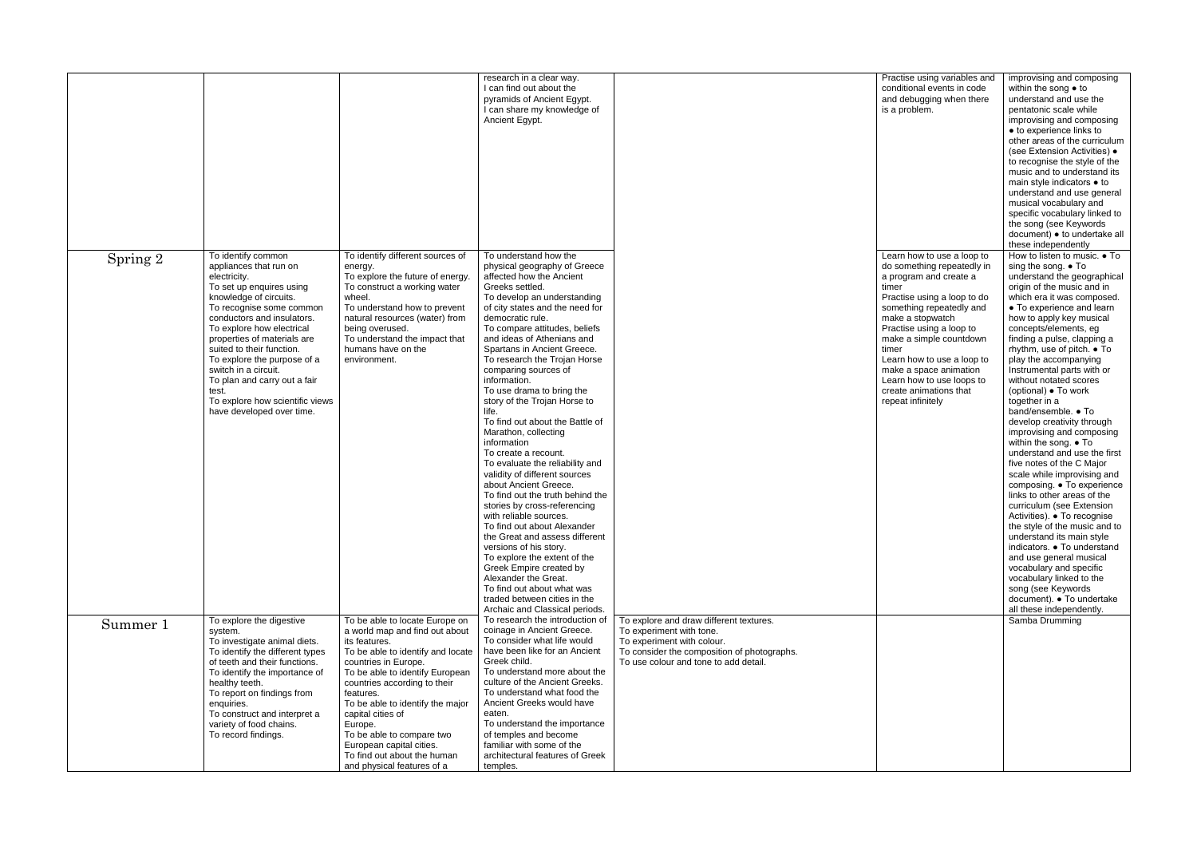|          |                                                                                                                                                                                                                                                                                                                                                                                                                                       |                                                                                                                                                                                                                                                                                                                                                                                                                          | research in a clear way.<br>I can find out about the<br>pyramids of Ancient Egypt.<br>I can share my knowledge of<br>Ancient Egypt.                                                                                                                                                                                                                                                                                                                                                                                                                                                                                                                                                                                                                                                                                                                                                                                                                                                                               |                                                                                                                                                                                           | Practise using variables and<br>conditional events in code<br>and debugging when there<br>is a problem.                                                                                                                                                                                                                                                                        | improvising and composing<br>within the song $\bullet$ to<br>understand and use the<br>pentatonic scale while<br>improvising and composing<br>• to experience links to<br>other areas of the curriculum<br>(see Extension Activities) .<br>to recognise the style of the<br>music and to understand its<br>main style indicators • to<br>understand and use general<br>musical vocabulary and<br>specific vocabulary linked to<br>the song (see Keywords<br>document) • to undertake all<br>these independently                                                                                                                                                                                                                                                                                                                                                                                                                                                                                                               |
|----------|---------------------------------------------------------------------------------------------------------------------------------------------------------------------------------------------------------------------------------------------------------------------------------------------------------------------------------------------------------------------------------------------------------------------------------------|--------------------------------------------------------------------------------------------------------------------------------------------------------------------------------------------------------------------------------------------------------------------------------------------------------------------------------------------------------------------------------------------------------------------------|-------------------------------------------------------------------------------------------------------------------------------------------------------------------------------------------------------------------------------------------------------------------------------------------------------------------------------------------------------------------------------------------------------------------------------------------------------------------------------------------------------------------------------------------------------------------------------------------------------------------------------------------------------------------------------------------------------------------------------------------------------------------------------------------------------------------------------------------------------------------------------------------------------------------------------------------------------------------------------------------------------------------|-------------------------------------------------------------------------------------------------------------------------------------------------------------------------------------------|--------------------------------------------------------------------------------------------------------------------------------------------------------------------------------------------------------------------------------------------------------------------------------------------------------------------------------------------------------------------------------|-------------------------------------------------------------------------------------------------------------------------------------------------------------------------------------------------------------------------------------------------------------------------------------------------------------------------------------------------------------------------------------------------------------------------------------------------------------------------------------------------------------------------------------------------------------------------------------------------------------------------------------------------------------------------------------------------------------------------------------------------------------------------------------------------------------------------------------------------------------------------------------------------------------------------------------------------------------------------------------------------------------------------------|
| Spring 2 | To identify common<br>appliances that run on<br>electricity.<br>To set up enquires using<br>knowledge of circuits.<br>To recognise some common<br>conductors and insulators.<br>To explore how electrical<br>properties of materials are<br>suited to their function.<br>To explore the purpose of a<br>switch in a circuit.<br>To plan and carry out a fair<br>test.<br>To explore how scientific views<br>have developed over time. | To identify different sources of<br>energy.<br>To explore the future of energy.<br>To construct a working water<br>wheel.<br>To understand how to prevent<br>natural resources (water) from<br>being overused.<br>To understand the impact that<br>humans have on the<br>environment.                                                                                                                                    | To understand how the<br>physical geography of Greece<br>affected how the Ancient<br>Greeks settled.<br>To develop an understanding<br>of city states and the need for<br>democratic rule.<br>To compare attitudes, beliefs<br>and ideas of Athenians and<br>Spartans in Ancient Greece.<br>To research the Trojan Horse<br>comparing sources of<br>information.<br>To use drama to bring the<br>story of the Trojan Horse to<br>life.<br>To find out about the Battle of<br>Marathon, collecting<br>information<br>To create a recount.<br>To evaluate the reliability and<br>validity of different sources<br>about Ancient Greece.<br>To find out the truth behind the<br>stories by cross-referencing<br>with reliable sources.<br>To find out about Alexander<br>the Great and assess different<br>versions of his story.<br>To explore the extent of the<br>Greek Empire created by<br>Alexander the Great.<br>To find out about what was<br>traded between cities in the<br>Archaic and Classical periods. |                                                                                                                                                                                           | Learn how to use a loop to<br>do something repeatedly in<br>a program and create a<br>timer<br>Practise using a loop to do<br>something repeatedly and<br>make a stopwatch<br>Practise using a loop to<br>make a simple countdown<br>timer<br>Learn how to use a loop to<br>make a space animation<br>Learn how to use loops to<br>create animations that<br>repeat infinitely | How to listen to music. • To<br>sing the song. $\bullet$ To<br>understand the geographical<br>origin of the music and in<br>which era it was composed.<br>• To experience and learn<br>how to apply key musical<br>concepts/elements, eg<br>finding a pulse, clapping a<br>rhythm, use of pitch. • To<br>play the accompanying<br>Instrumental parts with or<br>without notated scores<br>(optional) ● To work<br>together in a<br>band/ensemble. • To<br>develop creativity through<br>improvising and composing<br>within the song. • To<br>understand and use the first<br>five notes of the C Major<br>scale while improvising and<br>composing. • To experience<br>links to other areas of the<br>curriculum (see Extension<br>Activities). • To recognise<br>the style of the music and to<br>understand its main style<br>indicators. • To understand<br>and use general musical<br>vocabulary and specific<br>vocabulary linked to the<br>song (see Keywords<br>document). • To undertake<br>all these independently. |
| Summer 1 | To explore the digestive<br>system.<br>To investigate animal diets.<br>To identify the different types<br>of teeth and their functions.<br>To identify the importance of<br>healthy teeth.<br>To report on findings from<br>enquiries.<br>To construct and interpret a<br>variety of food chains.<br>To record findings.                                                                                                              | To be able to locate Europe on<br>a world map and find out about<br>its features.<br>To be able to identify and locate<br>countries in Europe.<br>To be able to identify European<br>countries according to their<br>features.<br>To be able to identify the major<br>capital cities of<br>Europe.<br>To be able to compare two<br>European capital cities.<br>To find out about the human<br>and physical features of a | To research the introduction of<br>coinage in Ancient Greece.<br>To consider what life would<br>have been like for an Ancient<br>Greek child.<br>To understand more about the<br>culture of the Ancient Greeks.<br>To understand what food the<br>Ancient Greeks would have<br>eaten.<br>To understand the importance<br>of temples and become<br>familiar with some of the<br>architectural features of Greek<br>temples.                                                                                                                                                                                                                                                                                                                                                                                                                                                                                                                                                                                        | To explore and draw different textures.<br>To experiment with tone.<br>To experiment with colour.<br>To consider the composition of photographs.<br>To use colour and tone to add detail. |                                                                                                                                                                                                                                                                                                                                                                                | Samba Drumming                                                                                                                                                                                                                                                                                                                                                                                                                                                                                                                                                                                                                                                                                                                                                                                                                                                                                                                                                                                                                |